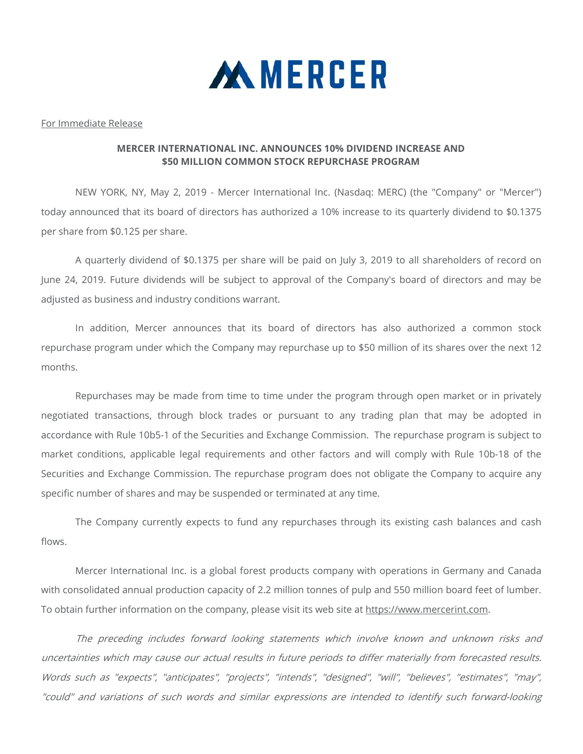

## For Immediate Release

## **MERCER INTERNATIONAL INC. ANNOUNCES 10% DIVIDEND INCREASE AND \$50 MILLION COMMON STOCK REPURCHASE PROGRAM**

NEW YORK, NY, May 2, 2019 - Mercer International Inc. (Nasdaq: MERC) (the "Company" or "Mercer") today announced that its board of directors has authorized a 10% increase to its quarterly dividend to \$0.1375 per share from \$0.125 per share.

A quarterly dividend of \$0.1375 per share will be paid on July 3, 2019 to all shareholders of record on June 24, 2019. Future dividends will be subject to approval of the Company's board of directors and may be adjusted as business and industry conditions warrant.

In addition, Mercer announces that its board of directors has also authorized a common stock repurchase program under which the Company may repurchase up to \$50 million of its shares over the next 12 months.

Repurchases may be made from time to time under the program through open market or in privately negotiated transactions, through block trades or pursuant to any trading plan that may be adopted in accordance with Rule 10b5-1 of the Securities and Exchange Commission. The repurchase program is subject to market conditions, applicable legal requirements and other factors and will comply with Rule 10b-18 of the Securities and Exchange Commission. The repurchase program does not obligate the Company to acquire any specific number of shares and may be suspended or terminated at any time.

The Company currently expects to fund any repurchases through its existing cash balances and cash flows.

Mercer International Inc. is a global forest products company with operations in Germany and Canada with consolidated annual production capacity of 2.2 million tonnes of pulp and 550 million board feet of lumber. To obtain further information on the company, please visit its web site at https://www.mercerint.com.

The preceding includes forward looking statements which involve known and unknown risks and uncertainties which may cause our actual results in future periods to differ materially from forecasted results. Words such as "expects", "anticipates", "projects", "intends", "designed", "will", "believes", "estimates", "may", "could" and variations of such words and similar expressions are intended to identify such forward-looking